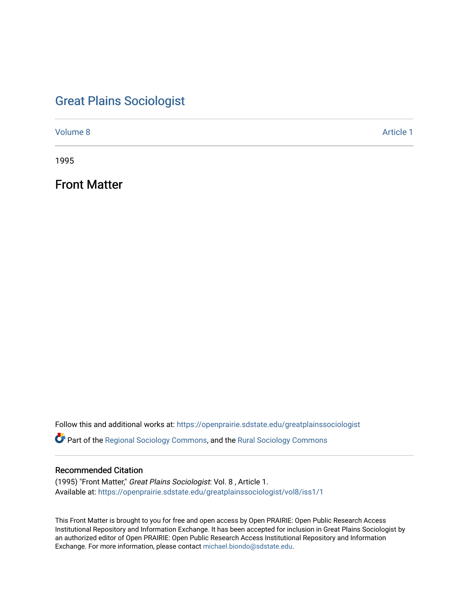# [Great Plains Sociologist](https://openprairie.sdstate.edu/greatplainssociologist)

[Volume 8](https://openprairie.sdstate.edu/greatplainssociologist/vol8) Article 1

1995

Front Matter

Follow this and additional works at: [https://openprairie.sdstate.edu/greatplainssociologist](https://openprairie.sdstate.edu/greatplainssociologist?utm_source=openprairie.sdstate.edu%2Fgreatplainssociologist%2Fvol8%2Fiss1%2F1&utm_medium=PDF&utm_campaign=PDFCoverPages) 

Part of the [Regional Sociology Commons](http://network.bepress.com/hgg/discipline/427?utm_source=openprairie.sdstate.edu%2Fgreatplainssociologist%2Fvol8%2Fiss1%2F1&utm_medium=PDF&utm_campaign=PDFCoverPages), and the [Rural Sociology Commons](http://network.bepress.com/hgg/discipline/428?utm_source=openprairie.sdstate.edu%2Fgreatplainssociologist%2Fvol8%2Fiss1%2F1&utm_medium=PDF&utm_campaign=PDFCoverPages) 

## Recommended Citation

(1995) "Front Matter," Great Plains Sociologist: Vol. 8 , Article 1. Available at: [https://openprairie.sdstate.edu/greatplainssociologist/vol8/iss1/1](https://openprairie.sdstate.edu/greatplainssociologist/vol8/iss1/1?utm_source=openprairie.sdstate.edu%2Fgreatplainssociologist%2Fvol8%2Fiss1%2F1&utm_medium=PDF&utm_campaign=PDFCoverPages) 

This Front Matter is brought to you for free and open access by Open PRAIRIE: Open Public Research Access Institutional Repository and Information Exchange. It has been accepted for inclusion in Great Plains Sociologist by an authorized editor of Open PRAIRIE: Open Public Research Access Institutional Repository and Information Exchange. For more information, please contact [michael.biondo@sdstate.edu.](mailto:michael.biondo@sdstate.edu)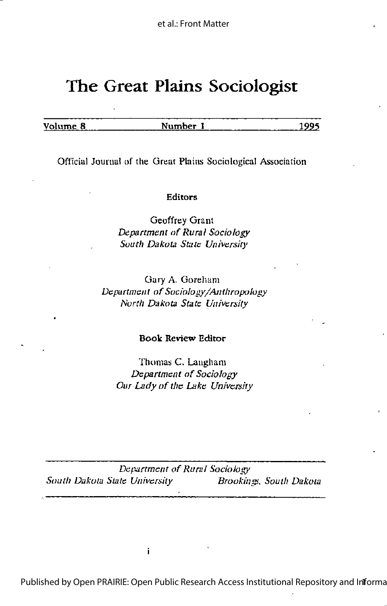# The Great Plains Sociologist

Volume 8 Number 1 1995

Official Journal of the Great Plains Sociological Association

### Editors

Geoffrey Grant Department of Rural Sociology South Dakota State University

Gary A. Gorehani Department of Sociology/Anthropology North Dakota State University

### Book Review Editor

Thomas C. Langham Department of Sociology Our Lady of the Lake University

Department of Rural Sociology South Dakota State University Brookings, South Dakota

i

Published by Open PRAIRIE: Open Public Research Access Institutional Repository and Infforma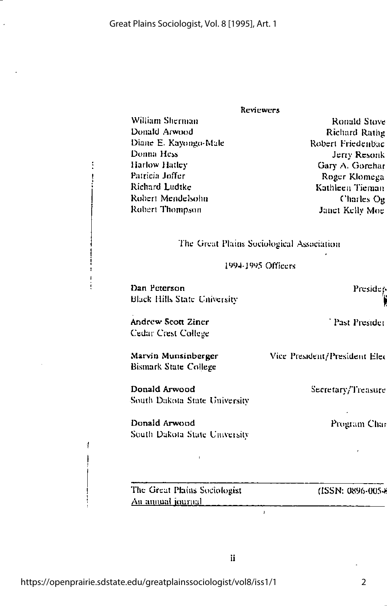#### **Reviewers**

William Sherman Donald Arwood Diane E. Kayongo-Male Donna Hess Harlow Hatley Patricia Joffer Richard Ludtke Robert Mendelsohn Robert Thompson

Ronald Stove **Richard Rathg** Robert Friedenbac Jerry Resonk Gary A. Gorehar Roger Klomega Kathleen Tieman Charles Og Janet Kelly Moe

The Great Plains Sociological Association

1994-1995 Officers

Dan Peterson **Black Hills State University** 

Andrew Scott Ziner Cedar Crest College

Marvin Munsinberger Bismark State College

Donald Arwood South Dakota State University

Donald Arwood South Dakota State University Preside

Past Presider

Vice President/President Elec

Secretary/Treasure

Program Char

The Great Plains Sociologist An annual journal

(ISSN: 0896-0054

 $\overline{1}$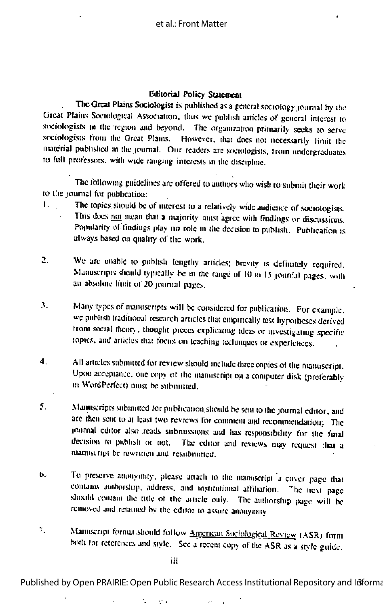## Editorial Policy Statement

The Great Plains Sociologist is published as a general sociology journal by the Great Plains Sociological Association, thus we publish articles of general interest to sociologists in the region and beyond. The organization primarily seeks to serve sociologists from the Great Plants. However, that does not necessarily limit the material published in the journal. Our readers are sociologists, from undergraduates to full professors, with wide ranging interests in the discipline.

The following guidelines are offered to authors who wish to submit their work to the journal for publication:

- The topics should be of interest to a relatively wide audience of sociologists.  $\mathbf{L}$ This does not mean that a majority must agree with findings or discussions. Popularity of findings play no role in the decision to publish. Publication is always based on quality of the work.
- $\mathbf{L}$ We are unable to publish lengthy articles; brevity is definitely required. Manuscripts should typically be m the range of 10 to 15 journal pages, with an absolute limit of 20 journal pages.
- 3. Many types of manuscripts will be considered for publication. For example, we publish traditional research articles that empirically test hypotheses derived from social theory, thought pieces explicating ideas or investigating specific topics, and articles that focus on teaching techniques or experiences.
- $\ddot{\mathbf{4}}$ . All articles submitted for review should include three copies of the manuscript. Upon acceptance, one copy of the manuscript on a computer disk (preferably in WordPerfect) must be submitted.
- Manuscripts submitted for publication should be sent to the journal editor, and S. are then sent to at least two reviews for comment and recommendation; The journal editor also reads submissions and has responsibility for the final decision to publish or not. The editor and reviews may request that a ntamiscript be rewritten and resubmitted.
- To preserve anonymity, please attach to the mainiscript a cover page that ь. contains authorship, address, and institutional affiliation. The next page should contain the title of the article only. The authorship page will be removed and retained by the editor to assure anonymity
- $7\%$ Mainiscript format should follow American Sociological Review (ASR) form both for references and style. See a recent copy of the ASR as a style guide.

iii

e.

Published by Open PRAIRIE: Open Public Research Access Institutional Repository and Informa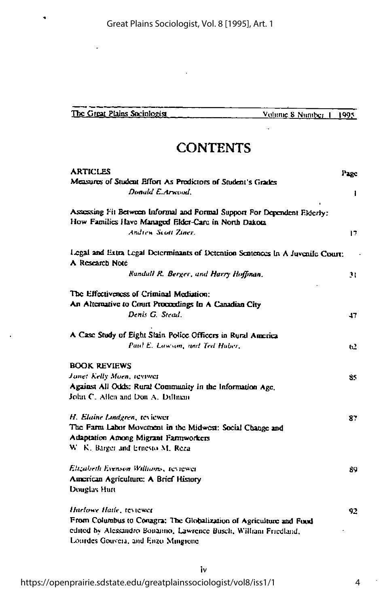| The Great Plains Sociologist | Volume 8 Number 1, 1995 |  |
|------------------------------|-------------------------|--|

# **CONTENTS**

| <b>ARTICLES</b>                                                                                   | Page         |
|---------------------------------------------------------------------------------------------------|--------------|
| Measures of Student Effort As Predictors of Student's Grades                                      |              |
| Donald E. Arwood                                                                                  | $\mathbf{I}$ |
| Assessing Fit Between Informal and Formal Support For Dependent Elderly:                          |              |
| How Families Have Managed Elder-Care in North Dakota                                              |              |
| Andrew Scott Ziner.                                                                               | 17.          |
| Legal and Extra Legal Determinants of Detention Sentences In A Juvenile Court:<br>A Research Note |              |
| Randall R. Berger, and Harry Hoffman.                                                             | 31           |
| The Effectiveness of Criminal Mediation:                                                          |              |
| An Alternative to Court Proceedings In A Canadian City                                            |              |
| Denis G. Stead.                                                                                   | 47           |
| A Case Study of Eight Slain Police Officers in Rural America                                      |              |
| Paul E. Lawson, and Ted Haber,                                                                    | 62           |
| <b>BOOK REVIEWS</b>                                                                               |              |
| Janet Kelly Moen, reviwer                                                                         | 85.          |
| Against All Odds: Rural Community in the Information Age,                                         |              |
| John C. Allen and Don A. Diffman                                                                  |              |
| H. Elaine Lindgren, tevicwer                                                                      | 87           |
| The Farm Labor Movement in the Midwest: Social Change and                                         |              |
| Adaptation Among Migrant Farmworkers                                                              |              |
| W. K. Barger and Ernesto M. Reza                                                                  |              |
| Elizabeth Evenson Williams, reviewer                                                              | 89           |
| American Agriculture: A Brief History                                                             |              |
| Douglas Hun                                                                                       |              |
| Harlowe Haile, teviewer                                                                           | 92           |
| From Columbus to Conagra: The Globalization of Agriculture and Food                               |              |
| edited by Alessandro Bonanno, Lawrence Busch, William Friedland,                                  |              |
| Lourdes Gouvera, and Enzo Mingrone                                                                |              |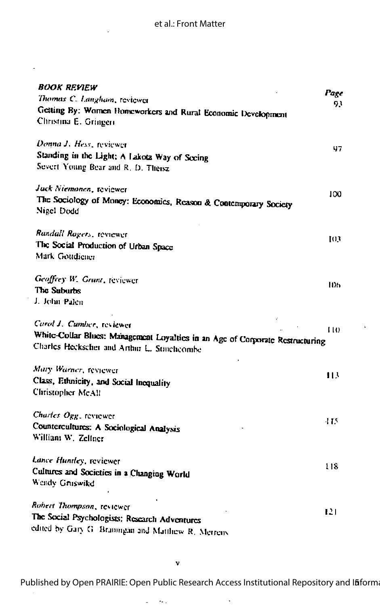| BOOK REVIEW<br>Thomas C. Langham, reviewer                                                                                   | Page<br>93 |
|------------------------------------------------------------------------------------------------------------------------------|------------|
| Getting By: Women Homeworkers and Rural Economic Development<br>Christina E. Gringeri                                        |            |
| Donna J. Hess, reviewer                                                                                                      | 97         |
| Standing in the Light: A Lakota Way of Seeing<br>Severt Young Bear and R. D. Theisz                                          |            |
| Jack Niemonen, reviewer                                                                                                      | 100        |
| The Sociology of Money: Economics, Reason & Contemporary Society<br>Nigel Dodd                                               |            |
| Randall Rogers, reviewer                                                                                                     | 103        |
| The Social Production of Urban Space<br>Mark Goudiener                                                                       |            |
| Geoffrey W. Grant, reviewer                                                                                                  | шь         |
| The Suburbs<br>J. John Palen                                                                                                 |            |
| Carol J. Cumber, reviewer                                                                                                    | LI O       |
| White-Collar Blues: Management Loyalties in an Age of Corporate Restructuring<br>Charles Heckscher and Arthur L. Stinchcombe |            |
| Mary Warner, reviewer                                                                                                        | 113        |
| Class, Ethnicity, and Social Inequality<br>Christopher McAll                                                                 |            |
| Charles Ogg. reviewer                                                                                                        | 445.       |
| Countercultures: A Sociological Analysis<br>William W. Zellner                                                               |            |
| Lance Huntley, reviewer                                                                                                      | 118.       |
| Cultures and Societies in a Changing World<br>Wendy Gruswikd                                                                 |            |
| Robert Thompson, reviewer                                                                                                    | 121        |
| The Social Psychologists: Research Adventures                                                                                |            |
| edited by Gary G. Braningan and Matthew R. Merrens                                                                           |            |

 $\overline{\phantom{a}}$  $\sim$ 

Published by Open PRAIRIE: Open Public Research Access Institutional Repository and Ifiform

 $\bar{z}$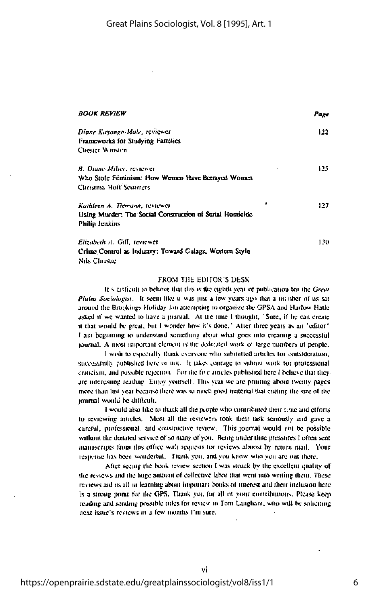| <i>BOOK REVIEW</i>                                       | Page |
|----------------------------------------------------------|------|
| Diane Kayongo-Male, reviewer                             | 122  |
| Frameworks for Studying Families                         |      |
| Chester Winston                                          |      |
| B. Diane Miller, textower                                | 125. |
| Who Stole Feminism: How Women Have Berrayed Women        |      |
| Christina Hoff Sommers                                   |      |
| Kathleen A. Tiemann, veviewer                            | 127. |
| Using Murder: The Social Construction of Serial Homicide |      |
| Philip Jenkins                                           |      |
| Elizabeth A. Gill, teviewet                              | 130  |
| Crime Control as Industry: Toward Gulags, Western Style  |      |
| Nils Christie                                            |      |

#### **FROM THE FINTOR'S DESK**

It's difficult to believe that this is the eighth year of publication for the Great Plains Sociologist. It seem like it was just a few years ago that a number of us sat around the Brookings Holiday Inn attempting to organize the GPSA and Harlow Hatle asked if we wanted to have a journal. At the time I thought, "Sure, if he can create it that would be great, but I wonder how it's done." After three years as an "editor" I am beginning to understand something about what goes into creating a successful journal. A most important element is the dedicated work of large numbers of people,

I wish to especially thank everyone who submitted articles for consideration, successfully published here or not. It takes conrage to submit work for professional criticism, and possible rejection. For the five articles published here I believe that they are interesting reading. Enjoy yourself. This year we are printing about twenty pages. more than last year because there was so much good material that cutting the size of the journal would be difficult.

I would also like to thank all the people who contributed their time and efforts to reviewing atticles. Most all the reviewers took their task seriously and gave a careful, professional, and constructive review. This journal would not be possible without the donated service of so many of you. Being under time pressures I often sent manuscripts from this office with requests for reviews almost by return mail. Your response has been wonderful. Thank you, and you know who you are out there.

After seeing the book review section I was struck by the excellent quality of the reviews and the huge amount of collective labor that went into writing them. These reviews aid as all in learning about important books of interest and their inclusion here is a strong point for the GPS. Thank you for all of your contributions. Please keep reading and sending possible titles for review to Tom Laugham, who will be soliciting next issue's reviews in a few months I'm sure.

vi